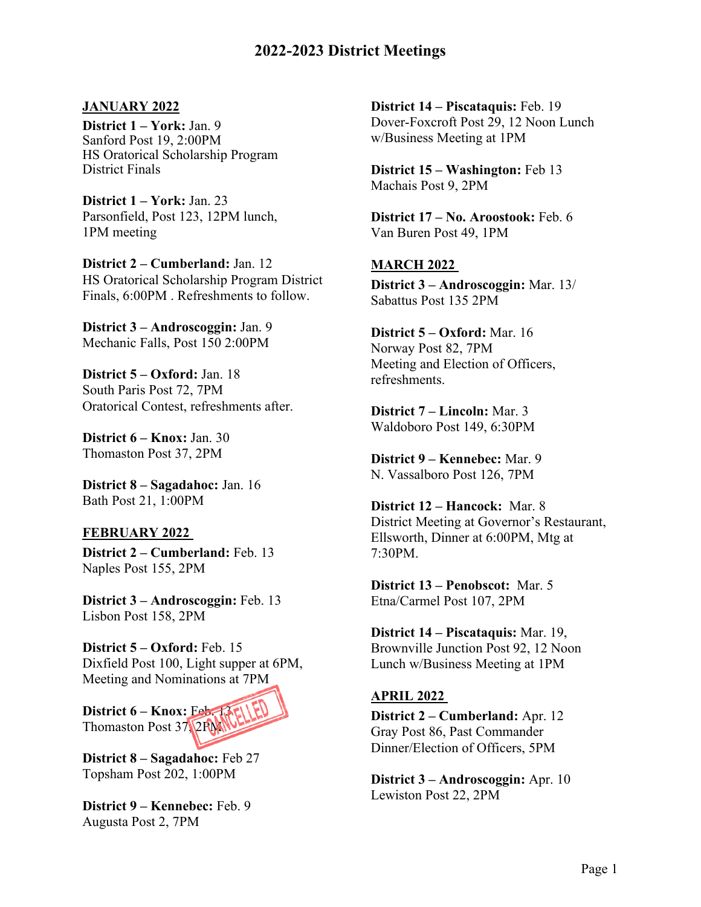#### **JANUARY 2022**

**District 1 – York:** Jan. 9 Sanford Post 19, 2:00PM HS Oratorical Scholarship Program District Finals

**District 1 – York:** Jan. 23 Parsonfield, Post 123, 12PM lunch, 1PM meeting

**District 2 – Cumberland:** Jan. 12 HS Oratorical Scholarship Program District Finals, 6:00PM . Refreshments to follow.

**District 3 – Androscoggin:** Jan. 9 Mechanic Falls, Post 150 2:00PM

**District 5 – Oxford:** Jan. 18 South Paris Post 72, 7PM Oratorical Contest, refreshments after.

**District 6 – Knox:** Jan. 30 Thomaston Post 37, 2PM

**District 8 – Sagadahoc:** Jan. 16 Bath Post 21, 1:00PM

#### **FEBRUARY 2022**

**District 2 – Cumberland:** Feb. 13 Naples Post 155, 2PM

**District 3 – Androscoggin:** Feb. 13 Lisbon Post 158, 2PM

**District 5 – Oxford:** Feb. 15 Dixfield Post 100, Light supper at 6PM, Meeting and Nominations at 7PM



**District 8 – Sagadahoc:** Feb 27 Topsham Post 202, 1:00PM

**District 9 – Kennebec:** Feb. 9 Augusta Post 2, 7PM

**District 14 – Piscataquis:** Feb. 19 Dover-Foxcroft Post 29, 12 Noon Lunch w/Business Meeting at 1PM

**District 15 – Washington:** Feb 13 Machais Post 9, 2PM

**District 17 – No. Aroostook:** Feb. 6 Van Buren Post 49, 1PM

## **MARCH 2022**

**District 3 – Androscoggin:** Mar. 13/ Sabattus Post 135 2PM

**District 5 – Oxford:** Mar. 16 Norway Post 82, 7PM Meeting and Election of Officers, refreshments.

**District 7 – Lincoln:** Mar. 3 Waldoboro Post 149, 6:30PM

**District 9 – Kennebec:** Mar. 9 N. Vassalboro Post 126, 7PM

**District 12 – Hancock:** Mar. 8 District Meeting at Governor's Restaurant, Ellsworth, Dinner at 6:00PM, Mtg at 7:30PM.

**District 13 – Penobscot:** Mar. 5 Etna/Carmel Post 107, 2PM

**District 14 – Piscataquis:** Mar. 19, Brownville Junction Post 92, 12 Noon Lunch w/Business Meeting at 1PM

## **APRIL 2022**

**District 2 – Cumberland:** Apr. 12 Gray Post 86, Past Commander Dinner/Election of Officers, 5PM

**District 3 – Androscoggin:** Apr. 10 Lewiston Post 22, 2PM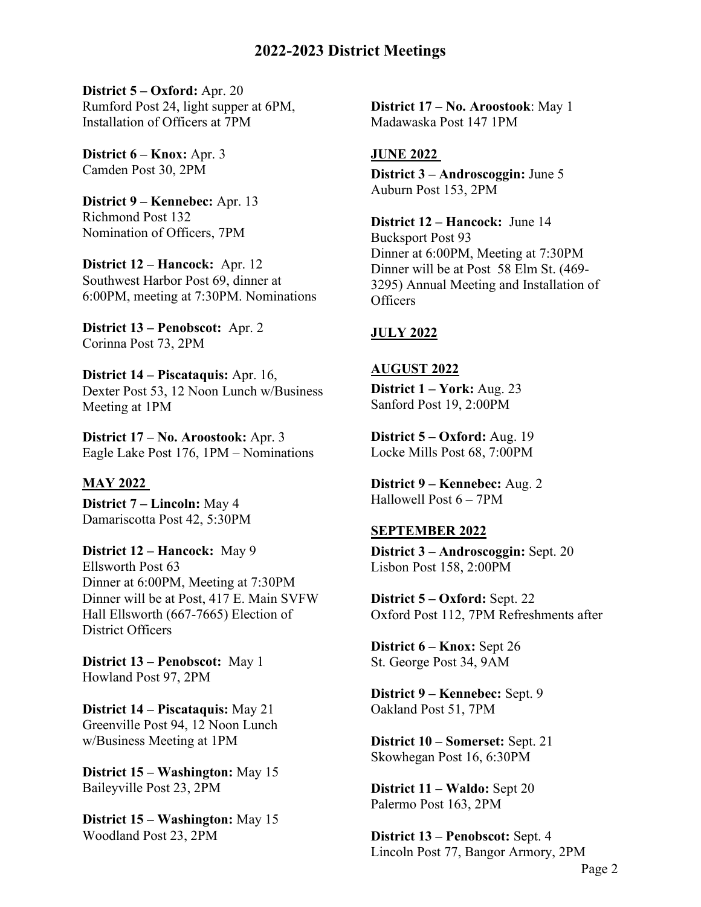**District 5 – Oxford:** Apr. 20 Rumford Post 24, light supper at 6PM, Installation of Officers at 7PM

**District 6 – Knox:** Apr. 3 Camden Post 30, 2PM

**District 9 – Kennebec:** Apr. 13 Richmond Post 132 Nomination of Officers, 7PM

**District 12 – Hancock:** Apr. 12 Southwest Harbor Post 69, dinner at 6:00PM, meeting at 7:30PM. Nominations

**District 13 – Penobscot:** Apr. 2 Corinna Post 73, 2PM

**District 14 – Piscataquis:** Apr. 16, Dexter Post 53, 12 Noon Lunch w/Business Meeting at 1PM

**District 17 – No. Aroostook:** Apr. 3 Eagle Lake Post 176, 1PM – Nominations

#### **MAY 2022**

**District 7 – Lincoln:** May 4 Damariscotta Post 42, 5:30PM

**District 12 – Hancock:** May 9 Ellsworth Post 63 Dinner at 6:00PM, Meeting at 7:30PM Dinner will be at Post, 417 E. Main SVFW Hall Ellsworth (667-7665) Election of District Officers

**District 13 – Penobscot:** May 1 Howland Post 97, 2PM

**District 14 – Piscataquis:** May 21 Greenville Post 94, 12 Noon Lunch w/Business Meeting at 1PM

**District 15 – Washington:** May 15 Baileyville Post 23, 2PM

**District 15 – Washington:** May 15 Woodland Post 23, 2PM

**District 17 – No. Aroostook**: May 1 Madawaska Post 147 1PM

#### **JUNE 2022**

**District 3 – Androscoggin:** June 5 Auburn Post 153, 2PM

**District 12 – Hancock:** June 14 Bucksport Post 93 Dinner at 6:00PM, Meeting at 7:30PM Dinner will be at Post 58 Elm St. (469- 3295) Annual Meeting and Installation of **Officers** 

#### **JULY 2022**

#### **AUGUST 2022**

**District 1 – York:** Aug. 23 Sanford Post 19, 2:00PM

**District 5 – Oxford:** Aug. 19 Locke Mills Post 68, 7:00PM

**District 9 – Kennebec:** Aug. 2 Hallowell Post 6 – 7PM

#### **SEPTEMBER 2022**

**District 3 – Androscoggin:** Sept. 20 Lisbon Post 158, 2:00PM

**District 5 – Oxford:** Sept. 22 Oxford Post 112, 7PM Refreshments after

**District 6 – Knox:** Sept 26 St. George Post 34, 9AM

**District 9 – Kennebec:** Sept. 9 Oakland Post 51, 7PM

**District 10 – Somerset:** Sept. 21 Skowhegan Post 16, 6:30PM

**District 11 – Waldo:** Sept 20 Palermo Post 163, 2PM

**District 13 – Penobscot:** Sept. 4 Lincoln Post 77, Bangor Armory, 2PM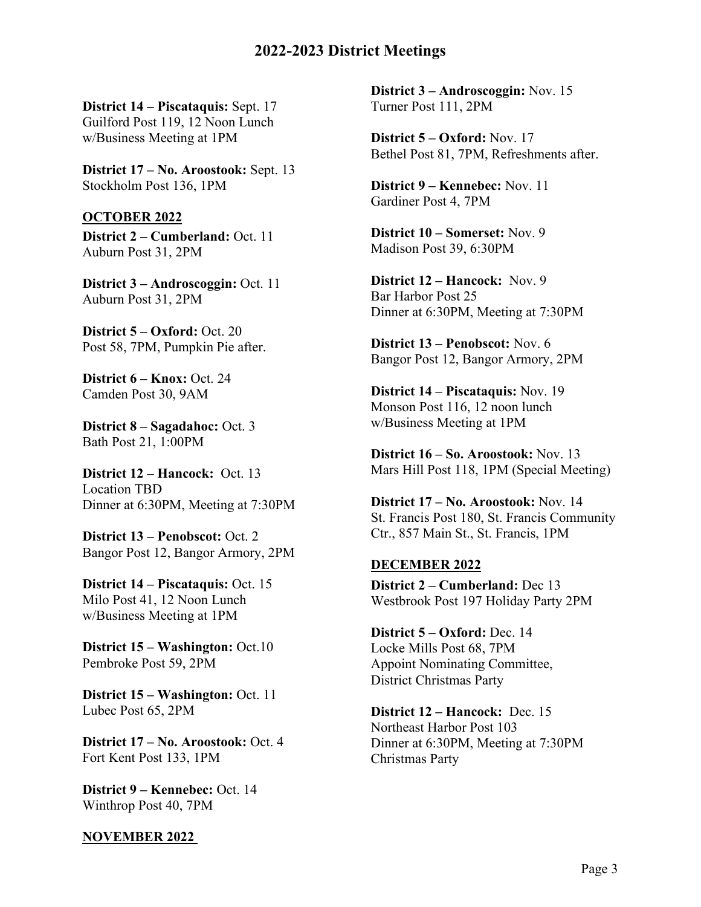**District 14 – Piscataquis:** Sept. 17 Guilford Post 119, 12 Noon Lunch w/Business Meeting at 1PM

**District 17 – No. Aroostook:** Sept. 13 Stockholm Post 136, 1PM

#### **OCTOBER 2022**

**District 2 – Cumberland:** Oct. 11 Auburn Post 31, 2PM

**District 3 – Androscoggin:** Oct. 11 Auburn Post 31, 2PM

**District 5 – Oxford:** Oct. 20 Post 58, 7PM, Pumpkin Pie after.

**District 6 – Knox:** Oct. 24 Camden Post 30, 9AM

**District 8 – Sagadahoc:** Oct. 3 Bath Post 21, 1:00PM

**District 12 – Hancock:** Oct. 13 Location TBD Dinner at 6:30PM, Meeting at 7:30PM

**District 13 – Penobscot:** Oct. 2 Bangor Post 12, Bangor Armory, 2PM

**District 14 – Piscataquis:** Oct. 15 Milo Post 41, 12 Noon Lunch w/Business Meeting at 1PM

**District 15 – Washington:** Oct.10 Pembroke Post 59, 2PM

**District 15 – Washington: Oct. 11** Lubec Post 65, 2PM

**District 17 – No. Aroostook: Oct. 4** Fort Kent Post 133, 1PM

**District 9 – Kennebec:** Oct. 14 Winthrop Post 40, 7PM

#### **NOVEMBER 2022**

**District 3 – Androscoggin:** Nov. 15 Turner Post 111, 2PM

**District 5 – Oxford:** Nov. 17 Bethel Post 81, 7PM, Refreshments after.

**District 9 – Kennebec:** Nov. 11 Gardiner Post 4, 7PM

**District 10 – Somerset:** Nov. 9 Madison Post 39, 6:30PM

**District 12 – Hancock:** Nov. 9 Bar Harbor Post 25 Dinner at 6:30PM, Meeting at 7:30PM

**District 13 – Penobscot:** Nov. 6 Bangor Post 12, Bangor Armory, 2PM

**District 14 – Piscataquis:** Nov. 19 Monson Post 116, 12 noon lunch w/Business Meeting at 1PM

**District 16 – So. Aroostook:** Nov. 13 Mars Hill Post 118, 1PM (Special Meeting)

**District 17 – No. Aroostook:** Nov. 14 St. Francis Post 180, St. Francis Community Ctr., 857 Main St., St. Francis, 1PM

#### **DECEMBER 2022**

**District 2 – Cumberland:** Dec 13 Westbrook Post 197 Holiday Party 2PM

**District 5 – Oxford:** Dec. 14 Locke Mills Post 68, 7PM Appoint Nominating Committee, District Christmas Party

**District 12 – Hancock:** Dec. 15 Northeast Harbor Post 103 Dinner at 6:30PM, Meeting at 7:30PM Christmas Party